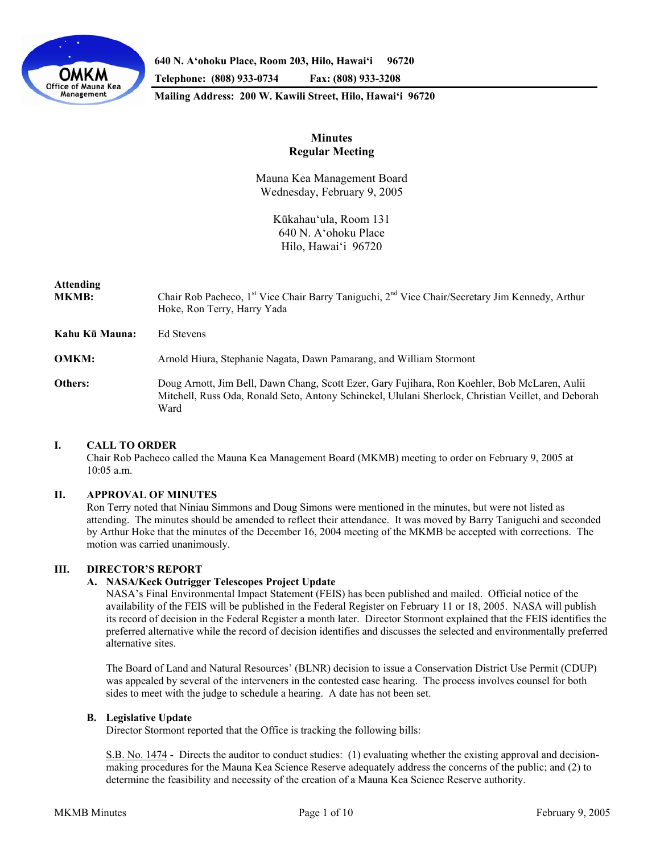

**640 N. A'ohoku Place, Room 203, Hilo, Hawai'i 96720** 

**Telephone: (808) 933-0734 Fax: (808) 933-3208** 

**Mailing Address: 200 W. Kawili Street, Hilo, Hawai'i 96720** 

# **Minutes Regular Meeting**

Mauna Kea Management Board Wednesday, February 9, 2005

> Kūkahau'ula, Room 131 640 N. A'ohoku Place Hilo, Hawai'i 96720

# **Attending**

**MKMB:** Chair Rob Pacheco, 1<sup>st</sup> Vice Chair Barry Taniguchi, 2<sup>nd</sup> Vice Chair/Secretary Jim Kennedy, Arthur Hoke, Ron Terry, Harry Yada

**Kahu Kū Mauna:** Ed Stevens

**OMKM:** Arnold Hiura, Stephanie Nagata, Dawn Pamarang, and William Stormont

**Others:** Doug Arnott, Jim Bell, Dawn Chang, Scott Ezer, Gary Fujihara, Ron Koehler, Bob McLaren, Aulii Mitchell, Russ Oda, Ronald Seto, Antony Schinckel, Ululani Sherlock, Christian Veillet, and Deborah Ward

## **I. CALL TO ORDER**

 Chair Rob Pacheco called the Mauna Kea Management Board (MKMB) meeting to order on February 9, 2005 at 10:05 a.m.

## **II. APPROVAL OF MINUTES**

 Ron Terry noted that Niniau Simmons and Doug Simons were mentioned in the minutes, but were not listed as attending. The minutes should be amended to reflect their attendance. It was moved by Barry Taniguchi and seconded by Arthur Hoke that the minutes of the December 16, 2004 meeting of the MKMB be accepted with corrections. The motion was carried unanimously.

## **III. DIRECTOR'S REPORT**

## **A. NASA/Keck Outrigger Telescopes Project Update**

NASA's Final Environmental Impact Statement (FEIS) has been published and mailed. Official notice of the availability of the FEIS will be published in the Federal Register on February 11 or 18, 2005. NASA will publish its record of decision in the Federal Register a month later. Director Stormont explained that the FEIS identifies the preferred alternative while the record of decision identifies and discusses the selected and environmentally preferred alternative sites.

The Board of Land and Natural Resources' (BLNR) decision to issue a Conservation District Use Permit (CDUP) was appealed by several of the interveners in the contested case hearing. The process involves counsel for both sides to meet with the judge to schedule a hearing. A date has not been set.

## **B. Legislative Update**

Director Stormont reported that the Office is tracking the following bills:

S.B. No. 1474 - Directs the auditor to conduct studies: (1) evaluating whether the existing approval and decisionmaking procedures for the Mauna Kea Science Reserve adequately address the concerns of the public; and (2) to determine the feasibility and necessity of the creation of a Mauna Kea Science Reserve authority.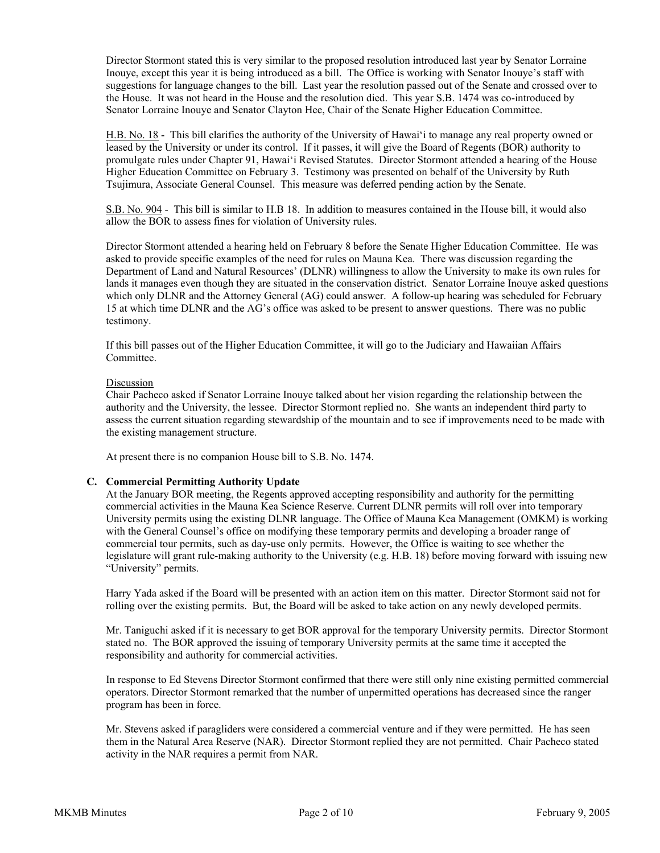Director Stormont stated this is very similar to the proposed resolution introduced last year by Senator Lorraine Inouye, except this year it is being introduced as a bill. The Office is working with Senator Inouye's staff with suggestions for language changes to the bill. Last year the resolution passed out of the Senate and crossed over to the House. It was not heard in the House and the resolution died. This year S.B. 1474 was co-introduced by Senator Lorraine Inouye and Senator Clayton Hee, Chair of the Senate Higher Education Committee.

H.B. No. 18 - This bill clarifies the authority of the University of Hawai'i to manage any real property owned or leased by the University or under its control. If it passes, it will give the Board of Regents (BOR) authority to promulgate rules under Chapter 91, Hawai'i Revised Statutes. Director Stormont attended a hearing of the House Higher Education Committee on February 3. Testimony was presented on behalf of the University by Ruth Tsujimura, Associate General Counsel. This measure was deferred pending action by the Senate.

S.B. No. 904 - This bill is similar to H.B 18. In addition to measures contained in the House bill, it would also allow the BOR to assess fines for violation of University rules.

Director Stormont attended a hearing held on February 8 before the Senate Higher Education Committee. He was asked to provide specific examples of the need for rules on Mauna Kea. There was discussion regarding the Department of Land and Natural Resources' (DLNR) willingness to allow the University to make its own rules for lands it manages even though they are situated in the conservation district. Senator Lorraine Inouye asked questions which only DLNR and the Attorney General (AG) could answer. A follow-up hearing was scheduled for February 15 at which time DLNR and the AG's office was asked to be present to answer questions. There was no public testimony.

If this bill passes out of the Higher Education Committee, it will go to the Judiciary and Hawaiian Affairs Committee.

### Discussion

Chair Pacheco asked if Senator Lorraine Inouye talked about her vision regarding the relationship between the authority and the University, the lessee. Director Stormont replied no. She wants an independent third party to assess the current situation regarding stewardship of the mountain and to see if improvements need to be made with the existing management structure.

At present there is no companion House bill to S.B. No. 1474.

## **C. Commercial Permitting Authority Update**

At the January BOR meeting, the Regents approved accepting responsibility and authority for the permitting commercial activities in the Mauna Kea Science Reserve. Current DLNR permits will roll over into temporary University permits using the existing DLNR language. The Office of Mauna Kea Management (OMKM) is working with the General Counsel's office on modifying these temporary permits and developing a broader range of commercial tour permits, such as day-use only permits. However, the Office is waiting to see whether the legislature will grant rule-making authority to the University (e.g. H.B. 18) before moving forward with issuing new "University" permits.

Harry Yada asked if the Board will be presented with an action item on this matter. Director Stormont said not for rolling over the existing permits. But, the Board will be asked to take action on any newly developed permits.

Mr. Taniguchi asked if it is necessary to get BOR approval for the temporary University permits. Director Stormont stated no. The BOR approved the issuing of temporary University permits at the same time it accepted the responsibility and authority for commercial activities.

In response to Ed Stevens Director Stormont confirmed that there were still only nine existing permitted commercial operators. Director Stormont remarked that the number of unpermitted operations has decreased since the ranger program has been in force.

Mr. Stevens asked if paragliders were considered a commercial venture and if they were permitted. He has seen them in the Natural Area Reserve (NAR). Director Stormont replied they are not permitted. Chair Pacheco stated activity in the NAR requires a permit from NAR.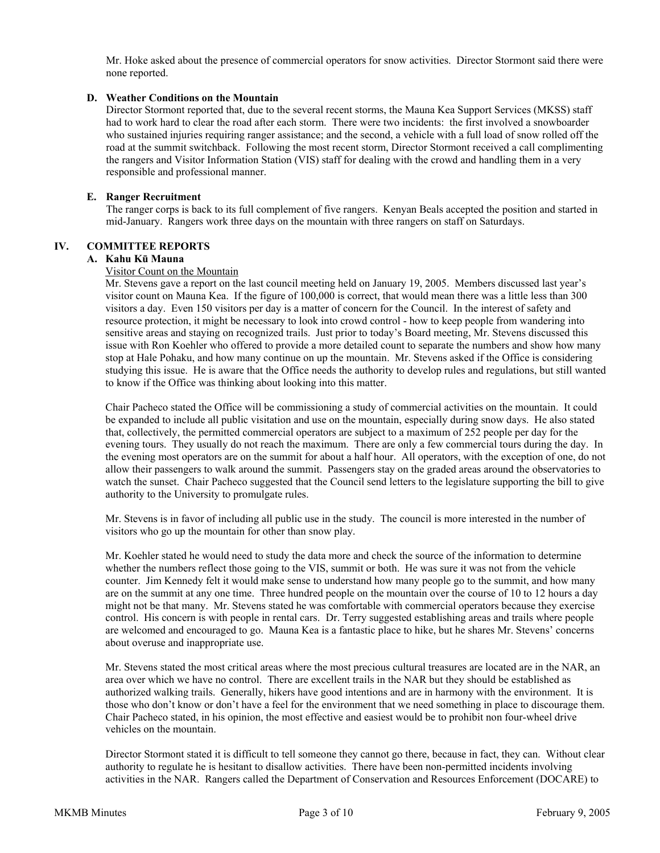Mr. Hoke asked about the presence of commercial operators for snow activities. Director Stormont said there were none reported.

### **D. Weather Conditions on the Mountain**

Director Stormont reported that, due to the several recent storms, the Mauna Kea Support Services (MKSS) staff had to work hard to clear the road after each storm. There were two incidents: the first involved a snowboarder who sustained injuries requiring ranger assistance; and the second, a vehicle with a full load of snow rolled off the road at the summit switchback. Following the most recent storm, Director Stormont received a call complimenting the rangers and Visitor Information Station (VIS) staff for dealing with the crowd and handling them in a very responsible and professional manner.

#### **E. Ranger Recruitment**

The ranger corps is back to its full complement of five rangers. Kenyan Beals accepted the position and started in mid-January. Rangers work three days on the mountain with three rangers on staff on Saturdays.

### **IV. COMMITTEE REPORTS**

#### **A. Kahu Kū Mauna**

#### Visitor Count on the Mountain

Mr. Stevens gave a report on the last council meeting held on January 19, 2005. Members discussed last year's visitor count on Mauna Kea. If the figure of 100,000 is correct, that would mean there was a little less than 300 visitors a day. Even 150 visitors per day is a matter of concern for the Council. In the interest of safety and resource protection, it might be necessary to look into crowd control - how to keep people from wandering into sensitive areas and staying on recognized trails. Just prior to today's Board meeting, Mr. Stevens discussed this issue with Ron Koehler who offered to provide a more detailed count to separate the numbers and show how many stop at Hale Pohaku, and how many continue on up the mountain. Mr. Stevens asked if the Office is considering studying this issue. He is aware that the Office needs the authority to develop rules and regulations, but still wanted to know if the Office was thinking about looking into this matter.

 Chair Pacheco stated the Office will be commissioning a study of commercial activities on the mountain. It could be expanded to include all public visitation and use on the mountain, especially during snow days. He also stated that, collectively, the permitted commercial operators are subject to a maximum of 252 people per day for the evening tours. They usually do not reach the maximum. There are only a few commercial tours during the day. In the evening most operators are on the summit for about a half hour. All operators, with the exception of one, do not allow their passengers to walk around the summit. Passengers stay on the graded areas around the observatories to watch the sunset. Chair Pacheco suggested that the Council send letters to the legislature supporting the bill to give authority to the University to promulgate rules.

 Mr. Stevens is in favor of including all public use in the study. The council is more interested in the number of visitors who go up the mountain for other than snow play.

 Mr. Koehler stated he would need to study the data more and check the source of the information to determine whether the numbers reflect those going to the VIS, summit or both. He was sure it was not from the vehicle counter. Jim Kennedy felt it would make sense to understand how many people go to the summit, and how many are on the summit at any one time. Three hundred people on the mountain over the course of 10 to 12 hours a day might not be that many. Mr. Stevens stated he was comfortable with commercial operators because they exercise control. His concern is with people in rental cars. Dr. Terry suggested establishing areas and trails where people are welcomed and encouraged to go. Mauna Kea is a fantastic place to hike, but he shares Mr. Stevens' concerns about overuse and inappropriate use.

 Mr. Stevens stated the most critical areas where the most precious cultural treasures are located are in the NAR, an area over which we have no control. There are excellent trails in the NAR but they should be established as authorized walking trails. Generally, hikers have good intentions and are in harmony with the environment. It is those who don't know or don't have a feel for the environment that we need something in place to discourage them. Chair Pacheco stated, in his opinion, the most effective and easiest would be to prohibit non four-wheel drive vehicles on the mountain.

 Director Stormont stated it is difficult to tell someone they cannot go there, because in fact, they can. Without clear authority to regulate he is hesitant to disallow activities. There have been non-permitted incidents involving activities in the NAR. Rangers called the Department of Conservation and Resources Enforcement (DOCARE) to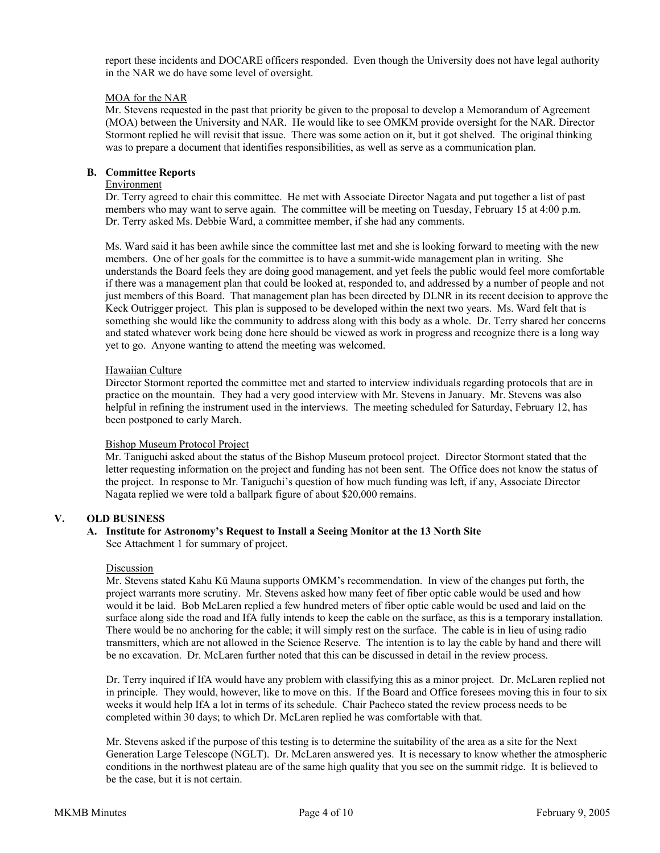report these incidents and DOCARE officers responded. Even though the University does not have legal authority in the NAR we do have some level of oversight.

### MOA for the NAR

 Mr. Stevens requested in the past that priority be given to the proposal to develop a Memorandum of Agreement (MOA) between the University and NAR. He would like to see OMKM provide oversight for the NAR. Director Stormont replied he will revisit that issue. There was some action on it, but it got shelved. The original thinking was to prepare a document that identifies responsibilities, as well as serve as a communication plan.

### **B. Committee Reports**

#### Environment

Dr. Terry agreed to chair this committee. He met with Associate Director Nagata and put together a list of past members who may want to serve again. The committee will be meeting on Tuesday, February 15 at 4:00 p.m. Dr. Terry asked Ms. Debbie Ward, a committee member, if she had any comments.

 Ms. Ward said it has been awhile since the committee last met and she is looking forward to meeting with the new members. One of her goals for the committee is to have a summit-wide management plan in writing. She understands the Board feels they are doing good management, and yet feels the public would feel more comfortable if there was a management plan that could be looked at, responded to, and addressed by a number of people and not just members of this Board. That management plan has been directed by DLNR in its recent decision to approve the Keck Outrigger project. This plan is supposed to be developed within the next two years. Ms. Ward felt that is something she would like the community to address along with this body as a whole. Dr. Terry shared her concerns and stated whatever work being done here should be viewed as work in progress and recognize there is a long way yet to go. Anyone wanting to attend the meeting was welcomed.

### Hawaiian Culture

Director Stormont reported the committee met and started to interview individuals regarding protocols that are in practice on the mountain. They had a very good interview with Mr. Stevens in January. Mr. Stevens was also helpful in refining the instrument used in the interviews. The meeting scheduled for Saturday, February 12, has been postponed to early March.

#### Bishop Museum Protocol Project

 Mr. Taniguchi asked about the status of the Bishop Museum protocol project. Director Stormont stated that the letter requesting information on the project and funding has not been sent. The Office does not know the status of the project. In response to Mr. Taniguchi's question of how much funding was left, if any, Associate Director Nagata replied we were told a ballpark figure of about \$20,000 remains.

## **V. OLD BUSINESS**

## **A. Institute for Astronomy's Request to Install a Seeing Monitor at the 13 North Site**

See Attachment 1 for summary of project.

#### Discussion

Mr. Stevens stated Kahu Kū Mauna supports OMKM's recommendation. In view of the changes put forth, the project warrants more scrutiny. Mr. Stevens asked how many feet of fiber optic cable would be used and how would it be laid. Bob McLaren replied a few hundred meters of fiber optic cable would be used and laid on the surface along side the road and IfA fully intends to keep the cable on the surface, as this is a temporary installation. There would be no anchoring for the cable; it will simply rest on the surface. The cable is in lieu of using radio transmitters, which are not allowed in the Science Reserve. The intention is to lay the cable by hand and there will be no excavation. Dr. McLaren further noted that this can be discussed in detail in the review process.

 Dr. Terry inquired if IfA would have any problem with classifying this as a minor project. Dr. McLaren replied not in principle. They would, however, like to move on this. If the Board and Office foresees moving this in four to six weeks it would help IfA a lot in terms of its schedule. Chair Pacheco stated the review process needs to be completed within 30 days; to which Dr. McLaren replied he was comfortable with that.

Mr. Stevens asked if the purpose of this testing is to determine the suitability of the area as a site for the Next Generation Large Telescope (NGLT). Dr. McLaren answered yes. It is necessary to know whether the atmospheric conditions in the northwest plateau are of the same high quality that you see on the summit ridge. It is believed to be the case, but it is not certain.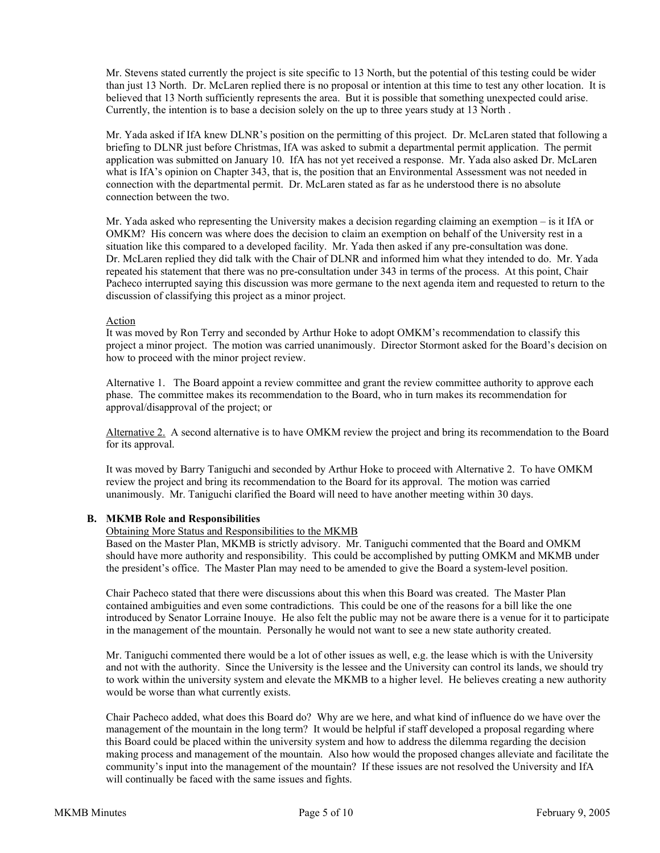Mr. Stevens stated currently the project is site specific to 13 North, but the potential of this testing could be wider than just 13 North. Dr. McLaren replied there is no proposal or intention at this time to test any other location. It is believed that 13 North sufficiently represents the area. But it is possible that something unexpected could arise. Currently, the intention is to base a decision solely on the up to three years study at 13 North .

Mr. Yada asked if IfA knew DLNR's position on the permitting of this project. Dr. McLaren stated that following a briefing to DLNR just before Christmas, IfA was asked to submit a departmental permit application. The permit application was submitted on January 10. IfA has not yet received a response. Mr. Yada also asked Dr. McLaren what is IfA's opinion on Chapter 343, that is, the position that an Environmental Assessment was not needed in connection with the departmental permit. Dr. McLaren stated as far as he understood there is no absolute connection between the two.

Mr. Yada asked who representing the University makes a decision regarding claiming an exemption – is it IfA or OMKM? His concern was where does the decision to claim an exemption on behalf of the University rest in a situation like this compared to a developed facility. Mr. Yada then asked if any pre-consultation was done. Dr. McLaren replied they did talk with the Chair of DLNR and informed him what they intended to do. Mr. Yada repeated his statement that there was no pre-consultation under 343 in terms of the process. At this point, Chair Pacheco interrupted saying this discussion was more germane to the next agenda item and requested to return to the discussion of classifying this project as a minor project.

### Action

It was moved by Ron Terry and seconded by Arthur Hoke to adopt OMKM's recommendation to classify this project a minor project. The motion was carried unanimously. Director Stormont asked for the Board's decision on how to proceed with the minor project review.

Alternative 1. The Board appoint a review committee and grant the review committee authority to approve each phase. The committee makes its recommendation to the Board, who in turn makes its recommendation for approval/disapproval of the project; or

Alternative 2. A second alternative is to have OMKM review the project and bring its recommendation to the Board for its approval.

It was moved by Barry Taniguchi and seconded by Arthur Hoke to proceed with Alternative 2. To have OMKM review the project and bring its recommendation to the Board for its approval. The motion was carried unanimously. Mr. Taniguchi clarified the Board will need to have another meeting within 30 days.

## **B. MKMB Role and Responsibilities**

#### Obtaining More Status and Responsibilities to the MKMB

Based on the Master Plan, MKMB is strictly advisory. Mr. Taniguchi commented that the Board and OMKM should have more authority and responsibility. This could be accomplished by putting OMKM and MKMB under the president's office. The Master Plan may need to be amended to give the Board a system-level position.

 Chair Pacheco stated that there were discussions about this when this Board was created. The Master Plan contained ambiguities and even some contradictions. This could be one of the reasons for a bill like the one introduced by Senator Lorraine Inouye. He also felt the public may not be aware there is a venue for it to participate in the management of the mountain. Personally he would not want to see a new state authority created.

 Mr. Taniguchi commented there would be a lot of other issues as well, e.g. the lease which is with the University and not with the authority. Since the University is the lessee and the University can control its lands, we should try to work within the university system and elevate the MKMB to a higher level. He believes creating a new authority would be worse than what currently exists.

Chair Pacheco added, what does this Board do? Why are we here, and what kind of influence do we have over the management of the mountain in the long term? It would be helpful if staff developed a proposal regarding where this Board could be placed within the university system and how to address the dilemma regarding the decision making process and management of the mountain. Also how would the proposed changes alleviate and facilitate the community's input into the management of the mountain? If these issues are not resolved the University and IfA will continually be faced with the same issues and fights.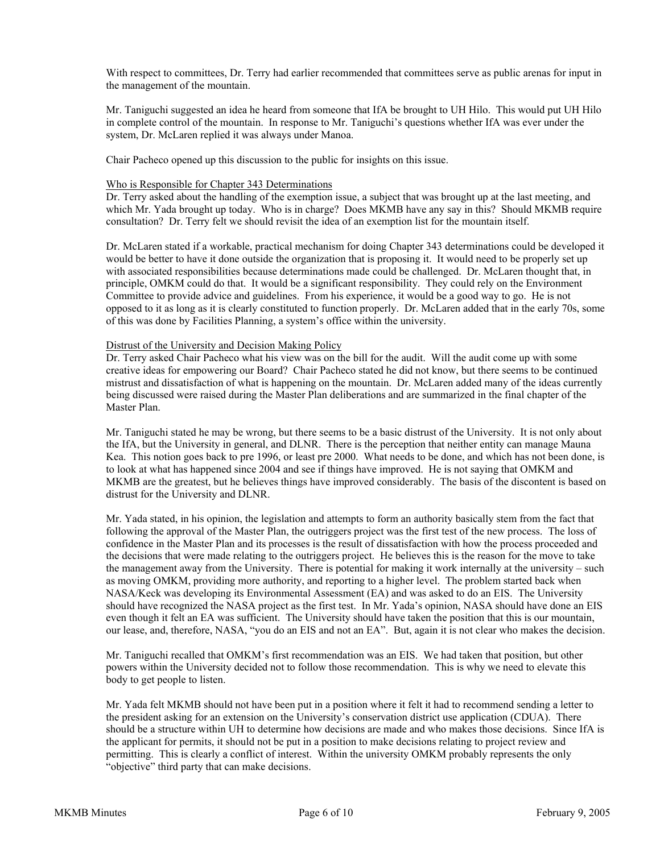With respect to committees, Dr. Terry had earlier recommended that committees serve as public arenas for input in the management of the mountain.

Mr. Taniguchi suggested an idea he heard from someone that IfA be brought to UH Hilo. This would put UH Hilo in complete control of the mountain. In response to Mr. Taniguchi's questions whether IfA was ever under the system, Dr. McLaren replied it was always under Manoa.

Chair Pacheco opened up this discussion to the public for insights on this issue.

#### Who is Responsible for Chapter 343 Determinations

Dr. Terry asked about the handling of the exemption issue, a subject that was brought up at the last meeting, and which Mr. Yada brought up today. Who is in charge? Does MKMB have any say in this? Should MKMB require consultation? Dr. Terry felt we should revisit the idea of an exemption list for the mountain itself.

Dr. McLaren stated if a workable, practical mechanism for doing Chapter 343 determinations could be developed it would be better to have it done outside the organization that is proposing it. It would need to be properly set up with associated responsibilities because determinations made could be challenged. Dr. McLaren thought that, in principle, OMKM could do that. It would be a significant responsibility. They could rely on the Environment Committee to provide advice and guidelines. From his experience, it would be a good way to go. He is not opposed to it as long as it is clearly constituted to function properly. Dr. McLaren added that in the early 70s, some of this was done by Facilities Planning, a system's office within the university.

#### Distrust of the University and Decision Making Policy

Dr. Terry asked Chair Pacheco what his view was on the bill for the audit. Will the audit come up with some creative ideas for empowering our Board? Chair Pacheco stated he did not know, but there seems to be continued mistrust and dissatisfaction of what is happening on the mountain. Dr. McLaren added many of the ideas currently being discussed were raised during the Master Plan deliberations and are summarized in the final chapter of the Master Plan.

 Mr. Taniguchi stated he may be wrong, but there seems to be a basic distrust of the University. It is not only about the IfA, but the University in general, and DLNR. There is the perception that neither entity can manage Mauna Kea. This notion goes back to pre 1996, or least pre 2000. What needs to be done, and which has not been done, is to look at what has happened since 2004 and see if things have improved. He is not saying that OMKM and MKMB are the greatest, but he believes things have improved considerably. The basis of the discontent is based on distrust for the University and DLNR.

 Mr. Yada stated, in his opinion, the legislation and attempts to form an authority basically stem from the fact that following the approval of the Master Plan, the outriggers project was the first test of the new process. The loss of confidence in the Master Plan and its processes is the result of dissatisfaction with how the process proceeded and the decisions that were made relating to the outriggers project. He believes this is the reason for the move to take the management away from the University. There is potential for making it work internally at the university – such as moving OMKM, providing more authority, and reporting to a higher level. The problem started back when NASA/Keck was developing its Environmental Assessment (EA) and was asked to do an EIS. The University should have recognized the NASA project as the first test. In Mr. Yada's opinion, NASA should have done an EIS even though it felt an EA was sufficient. The University should have taken the position that this is our mountain, our lease, and, therefore, NASA, "you do an EIS and not an EA". But, again it is not clear who makes the decision.

 Mr. Taniguchi recalled that OMKM's first recommendation was an EIS. We had taken that position, but other powers within the University decided not to follow those recommendation. This is why we need to elevate this body to get people to listen.

 Mr. Yada felt MKMB should not have been put in a position where it felt it had to recommend sending a letter to the president asking for an extension on the University's conservation district use application (CDUA). There should be a structure within UH to determine how decisions are made and who makes those decisions. Since IfA is the applicant for permits, it should not be put in a position to make decisions relating to project review and permitting. This is clearly a conflict of interest. Within the university OMKM probably represents the only "objective" third party that can make decisions.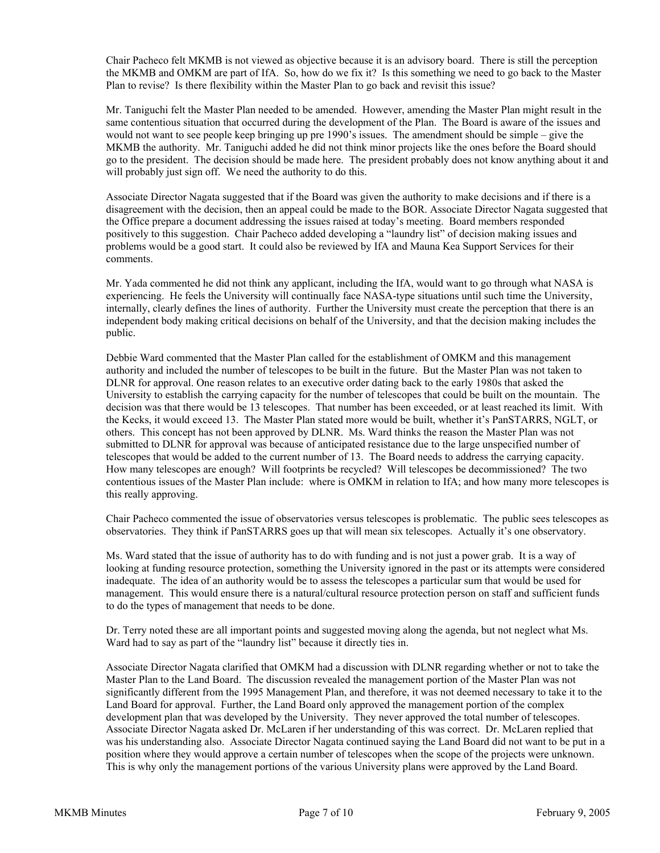Chair Pacheco felt MKMB is not viewed as objective because it is an advisory board. There is still the perception the MKMB and OMKM are part of IfA. So, how do we fix it? Is this something we need to go back to the Master Plan to revise? Is there flexibility within the Master Plan to go back and revisit this issue?

 Mr. Taniguchi felt the Master Plan needed to be amended. However, amending the Master Plan might result in the same contentious situation that occurred during the development of the Plan. The Board is aware of the issues and would not want to see people keep bringing up pre 1990's issues. The amendment should be simple – give the MKMB the authority. Mr. Taniguchi added he did not think minor projects like the ones before the Board should go to the president. The decision should be made here. The president probably does not know anything about it and will probably just sign off. We need the authority to do this.

 Associate Director Nagata suggested that if the Board was given the authority to make decisions and if there is a disagreement with the decision, then an appeal could be made to the BOR. Associate Director Nagata suggested that the Office prepare a document addressing the issues raised at today's meeting. Board members responded positively to this suggestion. Chair Pacheco added developing a "laundry list" of decision making issues and problems would be a good start. It could also be reviewed by IfA and Mauna Kea Support Services for their comments.

 Mr. Yada commented he did not think any applicant, including the IfA, would want to go through what NASA is experiencing. He feels the University will continually face NASA-type situations until such time the University, internally, clearly defines the lines of authority. Further the University must create the perception that there is an independent body making critical decisions on behalf of the University, and that the decision making includes the public.

 Debbie Ward commented that the Master Plan called for the establishment of OMKM and this management authority and included the number of telescopes to be built in the future. But the Master Plan was not taken to DLNR for approval. One reason relates to an executive order dating back to the early 1980s that asked the University to establish the carrying capacity for the number of telescopes that could be built on the mountain. The decision was that there would be 13 telescopes. That number has been exceeded, or at least reached its limit. With the Kecks, it would exceed 13. The Master Plan stated more would be built, whether it's PanSTARRS, NGLT, or others. This concept has not been approved by DLNR. Ms. Ward thinks the reason the Master Plan was not submitted to DLNR for approval was because of anticipated resistance due to the large unspecified number of telescopes that would be added to the current number of 13. The Board needs to address the carrying capacity. How many telescopes are enough? Will footprints be recycled? Will telescopes be decommissioned? The two contentious issues of the Master Plan include: where is OMKM in relation to IfA; and how many more telescopes is this really approving.

 Chair Pacheco commented the issue of observatories versus telescopes is problematic. The public sees telescopes as observatories. They think if PanSTARRS goes up that will mean six telescopes. Actually it's one observatory.

 Ms. Ward stated that the issue of authority has to do with funding and is not just a power grab. It is a way of looking at funding resource protection, something the University ignored in the past or its attempts were considered inadequate. The idea of an authority would be to assess the telescopes a particular sum that would be used for management. This would ensure there is a natural/cultural resource protection person on staff and sufficient funds to do the types of management that needs to be done.

 Dr. Terry noted these are all important points and suggested moving along the agenda, but not neglect what Ms. Ward had to say as part of the "laundry list" because it directly ties in.

 Associate Director Nagata clarified that OMKM had a discussion with DLNR regarding whether or not to take the Master Plan to the Land Board. The discussion revealed the management portion of the Master Plan was not significantly different from the 1995 Management Plan, and therefore, it was not deemed necessary to take it to the Land Board for approval. Further, the Land Board only approved the management portion of the complex development plan that was developed by the University. They never approved the total number of telescopes. Associate Director Nagata asked Dr. McLaren if her understanding of this was correct. Dr. McLaren replied that was his understanding also. Associate Director Nagata continued saying the Land Board did not want to be put in a position where they would approve a certain number of telescopes when the scope of the projects were unknown. This is why only the management portions of the various University plans were approved by the Land Board.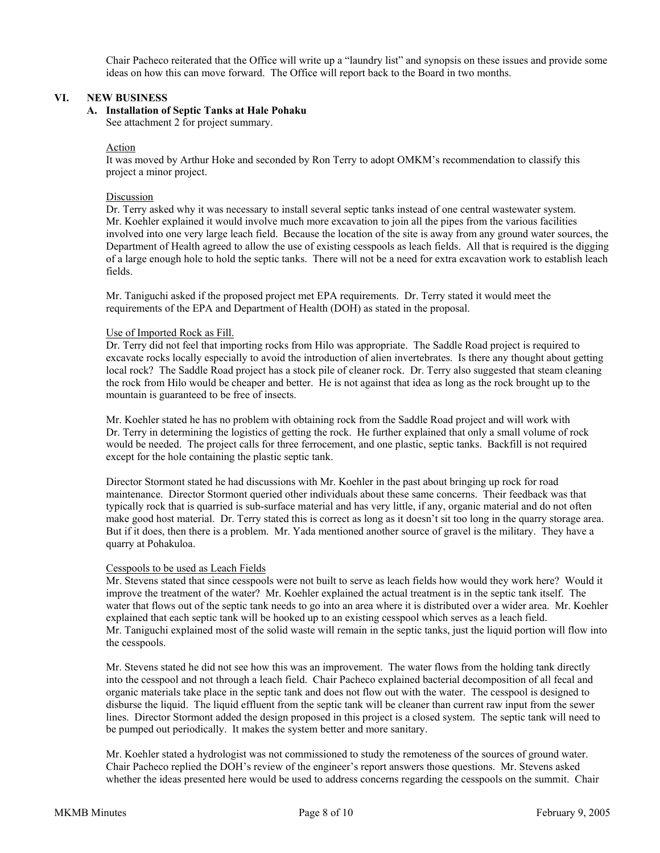Chair Pacheco reiterated that the Office will write up a "laundry list" and synopsis on these issues and provide some ideas on how this can move forward. The Office will report back to the Board in two months.

### **VI. NEW BUSINESS**

#### **A. Installation of Septic Tanks at Hale Pohaku**

See attachment 2 for project summary.

#### Action

It was moved by Arthur Hoke and seconded by Ron Terry to adopt OMKM's recommendation to classify this project a minor project.

#### Discussion

Dr. Terry asked why it was necessary to install several septic tanks instead of one central wastewater system. Mr. Koehler explained it would involve much more excavation to join all the pipes from the various facilities involved into one very large leach field. Because the location of the site is away from any ground water sources, the Department of Health agreed to allow the use of existing cesspools as leach fields. All that is required is the digging of a large enough hole to hold the septic tanks. There will not be a need for extra excavation work to establish leach fields.

Mr. Taniguchi asked if the proposed project met EPA requirements. Dr. Terry stated it would meet the requirements of the EPA and Department of Health (DOH) as stated in the proposal.

#### Use of Imported Rock as Fill.

Dr. Terry did not feel that importing rocks from Hilo was appropriate. The Saddle Road project is required to excavate rocks locally especially to avoid the introduction of alien invertebrates. Is there any thought about getting local rock? The Saddle Road project has a stock pile of cleaner rock. Dr. Terry also suggested that steam cleaning the rock from Hilo would be cheaper and better. He is not against that idea as long as the rock brought up to the mountain is guaranteed to be free of insects.

Mr. Koehler stated he has no problem with obtaining rock from the Saddle Road project and will work with Dr. Terry in determining the logistics of getting the rock. He further explained that only a small volume of rock would be needed. The project calls for three ferrocement, and one plastic, septic tanks. Backfill is not required except for the hole containing the plastic septic tank.

Director Stormont stated he had discussions with Mr. Koehler in the past about bringing up rock for road maintenance. Director Stormont queried other individuals about these same concerns. Their feedback was that typically rock that is quarried is sub-surface material and has very little, if any, organic material and do not often make good host material. Dr. Terry stated this is correct as long as it doesn't sit too long in the quarry storage area. But if it does, then there is a problem. Mr. Yada mentioned another source of gravel is the military. They have a quarry at Pohakuloa.

#### Cesspools to be used as Leach Fields

Mr. Stevens stated that since cesspools were not built to serve as leach fields how would they work here? Would it improve the treatment of the water? Mr. Koehler explained the actual treatment is in the septic tank itself. The water that flows out of the septic tank needs to go into an area where it is distributed over a wider area. Mr. Koehler explained that each septic tank will be hooked up to an existing cesspool which serves as a leach field. Mr. Taniguchi explained most of the solid waste will remain in the septic tanks, just the liquid portion will flow into the cesspools.

Mr. Stevens stated he did not see how this was an improvement. The water flows from the holding tank directly into the cesspool and not through a leach field. Chair Pacheco explained bacterial decomposition of all fecal and organic materials take place in the septic tank and does not flow out with the water. The cesspool is designed to disburse the liquid. The liquid effluent from the septic tank will be cleaner than current raw input from the sewer lines. Director Stormont added the design proposed in this project is a closed system. The septic tank will need to be pumped out periodically. It makes the system better and more sanitary.

Mr. Koehler stated a hydrologist was not commissioned to study the remoteness of the sources of ground water. Chair Pacheco replied the DOH's review of the engineer's report answers those questions. Mr. Stevens asked whether the ideas presented here would be used to address concerns regarding the cesspools on the summit. Chair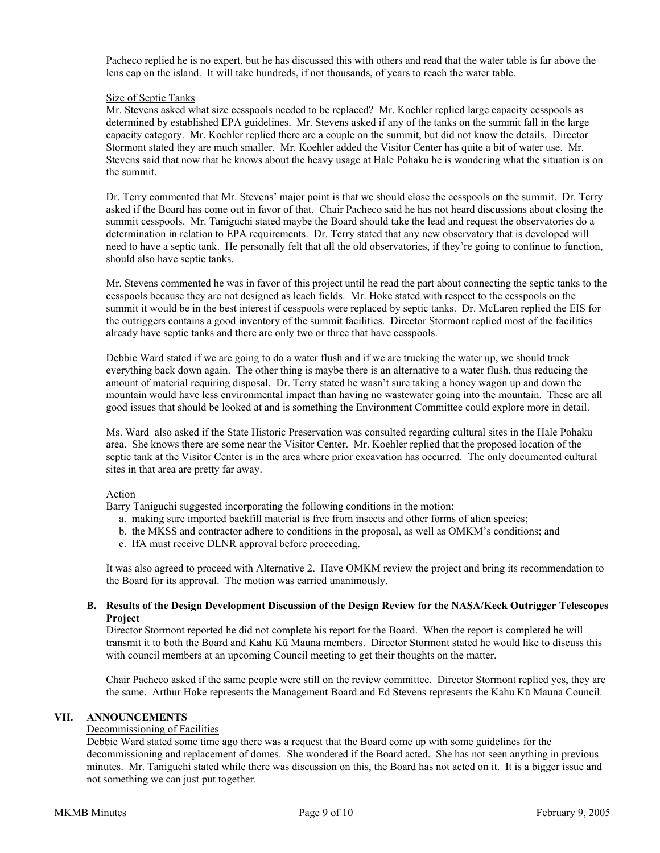Pacheco replied he is no expert, but he has discussed this with others and read that the water table is far above the lens cap on the island. It will take hundreds, if not thousands, of years to reach the water table.

### Size of Septic Tanks

Mr. Stevens asked what size cesspools needed to be replaced? Mr. Koehler replied large capacity cesspools as determined by established EPA guidelines. Mr. Stevens asked if any of the tanks on the summit fall in the large capacity category. Mr. Koehler replied there are a couple on the summit, but did not know the details. Director Stormont stated they are much smaller. Mr. Koehler added the Visitor Center has quite a bit of water use. Mr. Stevens said that now that he knows about the heavy usage at Hale Pohaku he is wondering what the situation is on the summit.

Dr. Terry commented that Mr. Stevens' major point is that we should close the cesspools on the summit. Dr. Terry asked if the Board has come out in favor of that. Chair Pacheco said he has not heard discussions about closing the summit cesspools. Mr. Taniguchi stated maybe the Board should take the lead and request the observatories do a determination in relation to EPA requirements. Dr. Terry stated that any new observatory that is developed will need to have a septic tank. He personally felt that all the old observatories, if they're going to continue to function, should also have septic tanks.

Mr. Stevens commented he was in favor of this project until he read the part about connecting the septic tanks to the cesspools because they are not designed as leach fields. Mr. Hoke stated with respect to the cesspools on the summit it would be in the best interest if cesspools were replaced by septic tanks. Dr. McLaren replied the EIS for the outriggers contains a good inventory of the summit facilities. Director Stormont replied most of the facilities already have septic tanks and there are only two or three that have cesspools.

Debbie Ward stated if we are going to do a water flush and if we are trucking the water up, we should truck everything back down again. The other thing is maybe there is an alternative to a water flush, thus reducing the amount of material requiring disposal. Dr. Terry stated he wasn't sure taking a honey wagon up and down the mountain would have less environmental impact than having no wastewater going into the mountain. These are all good issues that should be looked at and is something the Environment Committee could explore more in detail.

Ms. Ward also asked if the State Historic Preservation was consulted regarding cultural sites in the Hale Pohaku area. She knows there are some near the Visitor Center. Mr. Koehler replied that the proposed location of the septic tank at the Visitor Center is in the area where prior excavation has occurred. The only documented cultural sites in that area are pretty far away.

#### Action

Barry Taniguchi suggested incorporating the following conditions in the motion:

- a. making sure imported backfill material is free from insects and other forms of alien species;
- b. the MKSS and contractor adhere to conditions in the proposal, as well as OMKM's conditions; and
- c. IfA must receive DLNR approval before proceeding.

It was also agreed to proceed with Alternative 2. Have OMKM review the project and bring its recommendation to the Board for its approval. The motion was carried unanimously.

### **B. Results of the Design Development Discussion of the Design Review for the NASA/Keck Outrigger Telescopes Project**

Director Stormont reported he did not complete his report for the Board. When the report is completed he will transmit it to both the Board and Kahu Kū Mauna members. Director Stormont stated he would like to discuss this with council members at an upcoming Council meeting to get their thoughts on the matter.

Chair Pacheco asked if the same people were still on the review committee. Director Stormont replied yes, they are the same. Arthur Hoke represents the Management Board and Ed Stevens represents the Kahu Kū Mauna Council.

## **VII. ANNOUNCEMENTS**

## Decommissioning of Facilities

Debbie Ward stated some time ago there was a request that the Board come up with some guidelines for the decommissioning and replacement of domes. She wondered if the Board acted. She has not seen anything in previous minutes. Mr. Taniguchi stated while there was discussion on this, the Board has not acted on it. It is a bigger issue and not something we can just put together.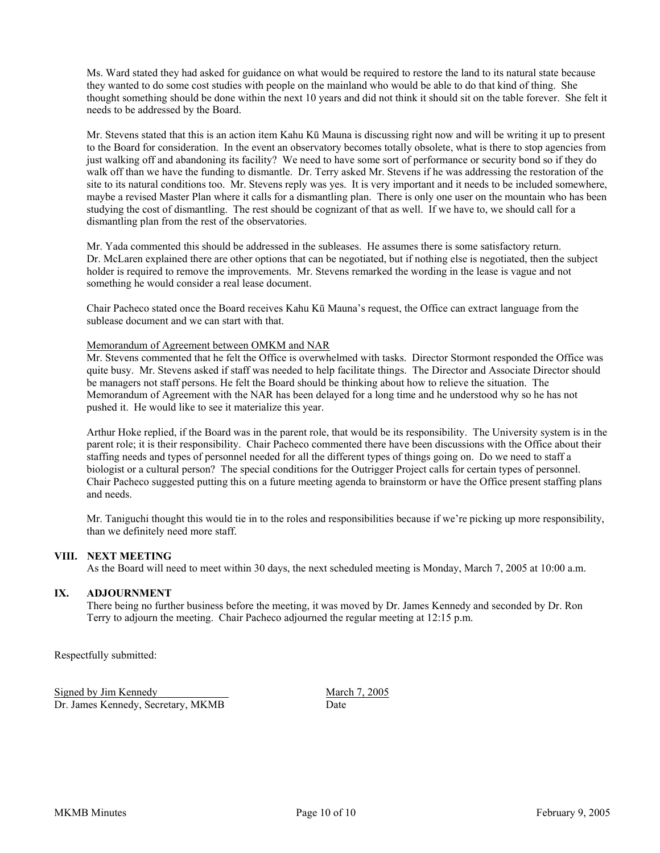Ms. Ward stated they had asked for guidance on what would be required to restore the land to its natural state because they wanted to do some cost studies with people on the mainland who would be able to do that kind of thing. She thought something should be done within the next 10 years and did not think it should sit on the table forever. She felt it needs to be addressed by the Board.

Mr. Stevens stated that this is an action item Kahu Kū Mauna is discussing right now and will be writing it up to present to the Board for consideration. In the event an observatory becomes totally obsolete, what is there to stop agencies from just walking off and abandoning its facility? We need to have some sort of performance or security bond so if they do walk off than we have the funding to dismantle. Dr. Terry asked Mr. Stevens if he was addressing the restoration of the site to its natural conditions too. Mr. Stevens reply was yes. It is very important and it needs to be included somewhere, maybe a revised Master Plan where it calls for a dismantling plan. There is only one user on the mountain who has been studying the cost of dismantling. The rest should be cognizant of that as well. If we have to, we should call for a dismantling plan from the rest of the observatories.

Mr. Yada commented this should be addressed in the subleases. He assumes there is some satisfactory return. Dr. McLaren explained there are other options that can be negotiated, but if nothing else is negotiated, then the subject holder is required to remove the improvements. Mr. Stevens remarked the wording in the lease is vague and not something he would consider a real lease document.

Chair Pacheco stated once the Board receives Kahu Kū Mauna's request, the Office can extract language from the sublease document and we can start with that.

### Memorandum of Agreement between OMKM and NAR

Mr. Stevens commented that he felt the Office is overwhelmed with tasks. Director Stormont responded the Office was quite busy. Mr. Stevens asked if staff was needed to help facilitate things. The Director and Associate Director should be managers not staff persons. He felt the Board should be thinking about how to relieve the situation. The Memorandum of Agreement with the NAR has been delayed for a long time and he understood why so he has not pushed it. He would like to see it materialize this year.

Arthur Hoke replied, if the Board was in the parent role, that would be its responsibility. The University system is in the parent role; it is their responsibility. Chair Pacheco commented there have been discussions with the Office about their staffing needs and types of personnel needed for all the different types of things going on. Do we need to staff a biologist or a cultural person? The special conditions for the Outrigger Project calls for certain types of personnel. Chair Pacheco suggested putting this on a future meeting agenda to brainstorm or have the Office present staffing plans and needs.

Mr. Taniguchi thought this would tie in to the roles and responsibilities because if we're picking up more responsibility, than we definitely need more staff.

## **VIII. NEXT MEETING**

As the Board will need to meet within 30 days, the next scheduled meeting is Monday, March 7, 2005 at 10:00 a.m.

### **IX. ADJOURNMENT**

 There being no further business before the meeting, it was moved by Dr. James Kennedy and seconded by Dr. Ron Terry to adjourn the meeting. Chair Pacheco adjourned the regular meeting at 12:15 p.m.

Respectfully submitted:

Signed by Jim Kennedy March 7, 2005 Dr. James Kennedy, Secretary, MKMB Date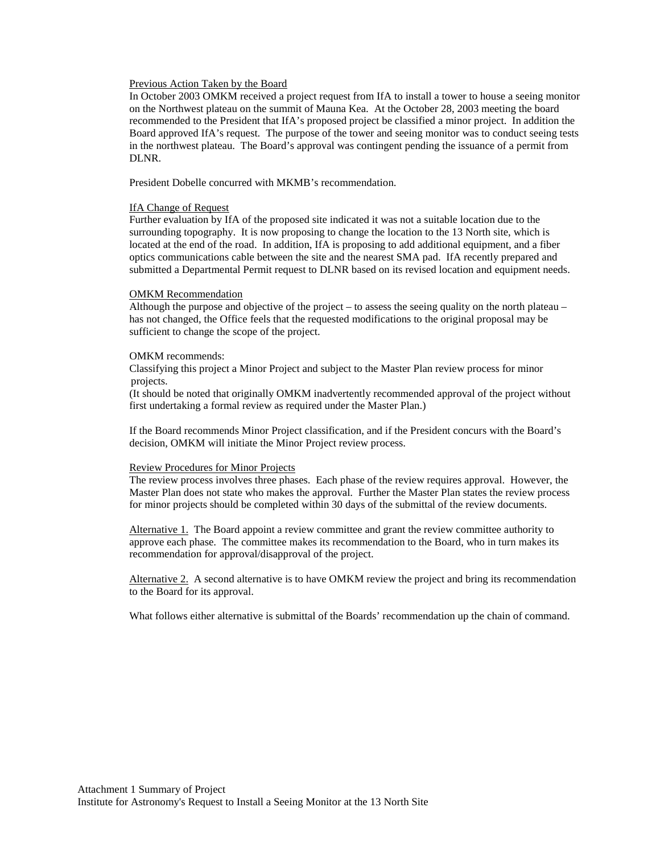### Previous Action Taken by the Board

In October 2003 OMKM received a project request from IfA to install a tower to house a seeing monitor on the Northwest plateau on the summit of Mauna Kea. At the October 28, 2003 meeting the board recommended to the President that IfA's proposed project be classified a minor project. In addition the Board approved IfA's request. The purpose of the tower and seeing monitor was to conduct seeing tests in the northwest plateau. The Board's approval was contingent pending the issuance of a permit from DLNR.

President Dobelle concurred with MKMB's recommendation.

#### IfA Change of Request

Further evaluation by IfA of the proposed site indicated it was not a suitable location due to the surrounding topography. It is now proposing to change the location to the 13 North site, which is located at the end of the road. In addition, IfA is proposing to add additional equipment, and a fiber optics communications cable between the site and the nearest SMA pad. IfA recently prepared and submitted a Departmental Permit request to DLNR based on its revised location and equipment needs.

#### OMKM Recommendation

Although the purpose and objective of the project – to assess the seeing quality on the north plateau – has not changed, the Office feels that the requested modifications to the original proposal may be sufficient to change the scope of the project.

#### OMKM recommends:

Classifying this project a Minor Project and subject to the Master Plan review process for minor projects.

(It should be noted that originally OMKM inadvertently recommended approval of the project without first undertaking a formal review as required under the Master Plan.)

If the Board recommends Minor Project classification, and if the President concurs with the Board's decision, OMKM will initiate the Minor Project review process.

#### Review Procedures for Minor Projects

The review process involves three phases. Each phase of the review requires approval. However, the Master Plan does not state who makes the approval. Further the Master Plan states the review process for minor projects should be completed within 30 days of the submittal of the review documents.

Alternative 1. The Board appoint a review committee and grant the review committee authority to approve each phase. The committee makes its recommendation to the Board, who in turn makes its recommendation for approval/disapproval of the project.

Alternative 2. A second alternative is to have OMKM review the project and bring its recommendation to the Board for its approval.

What follows either alternative is submittal of the Boards' recommendation up the chain of command.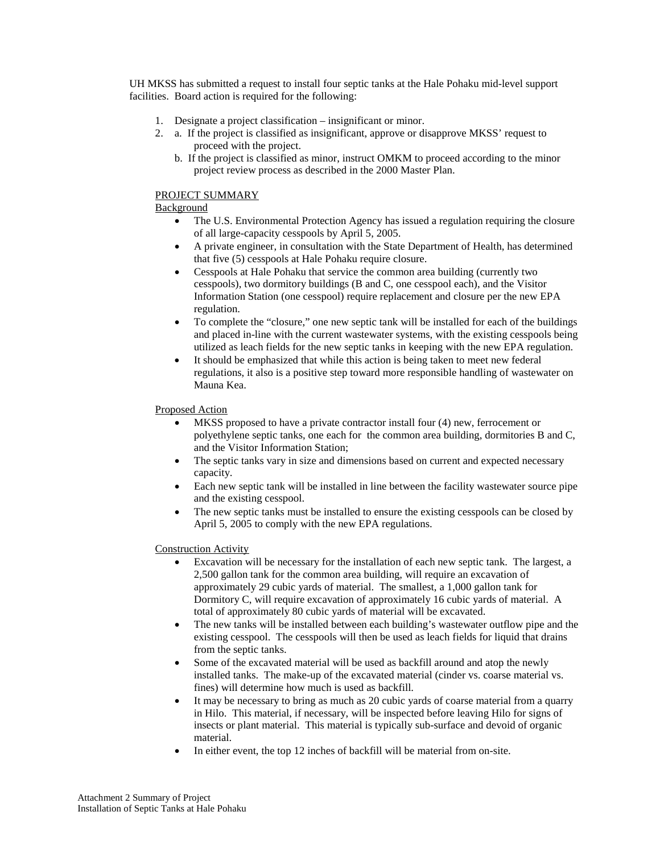UH MKSS has submitted a request to install four septic tanks at the Hale Pohaku mid-level support facilities. Board action is required for the following:

- 1. Designate a project classification insignificant or minor.
- 2. a. If the project is classified as insignificant, approve or disapprove MKSS' request to proceed with the project.
	- b. If the project is classified as minor, instruct OMKM to proceed according to the minor project review process as described in the 2000 Master Plan.

## PROJECT SUMMARY

# Background

- The U.S. Environmental Protection Agency has issued a regulation requiring the closure of all large-capacity cesspools by April 5, 2005.
- A private engineer, in consultation with the State Department of Health, has determined that five (5) cesspools at Hale Pohaku require closure.
- Cesspools at Hale Pohaku that service the common area building (currently two cesspools), two dormitory buildings (B and C, one cesspool each), and the Visitor Information Station (one cesspool) require replacement and closure per the new EPA regulation.
- To complete the "closure," one new septic tank will be installed for each of the buildings and placed in-line with the current wastewater systems, with the existing cesspools being utilized as leach fields for the new septic tanks in keeping with the new EPA regulation.
- It should be emphasized that while this action is being taken to meet new federal regulations, it also is a positive step toward more responsible handling of wastewater on Mauna Kea.

## Proposed Action

- MKSS proposed to have a private contractor install four (4) new, ferrocement or polyethylene septic tanks, one each for the common area building, dormitories B and C, and the Visitor Information Station;
- The septic tanks vary in size and dimensions based on current and expected necessary capacity.
- Each new septic tank will be installed in line between the facility wastewater source pipe and the existing cesspool.
- The new septic tanks must be installed to ensure the existing cesspools can be closed by April 5, 2005 to comply with the new EPA regulations.

## Construction Activity

- Excavation will be necessary for the installation of each new septic tank. The largest, a 2,500 gallon tank for the common area building, will require an excavation of approximately 29 cubic yards of material. The smallest, a 1,000 gallon tank for Dormitory C, will require excavation of approximately 16 cubic yards of material. A total of approximately 80 cubic yards of material will be excavated.
- The new tanks will be installed between each building's wastewater outflow pipe and the existing cesspool. The cesspools will then be used as leach fields for liquid that drains from the septic tanks.
- Some of the excavated material will be used as backfill around and atop the newly installed tanks. The make-up of the excavated material (cinder vs. coarse material vs. fines) will determine how much is used as backfill.
- It may be necessary to bring as much as 20 cubic yards of coarse material from a quarry in Hilo. This material, if necessary, will be inspected before leaving Hilo for signs of insects or plant material. This material is typically sub-surface and devoid of organic material.
- In either event, the top 12 inches of backfill will be material from on-site.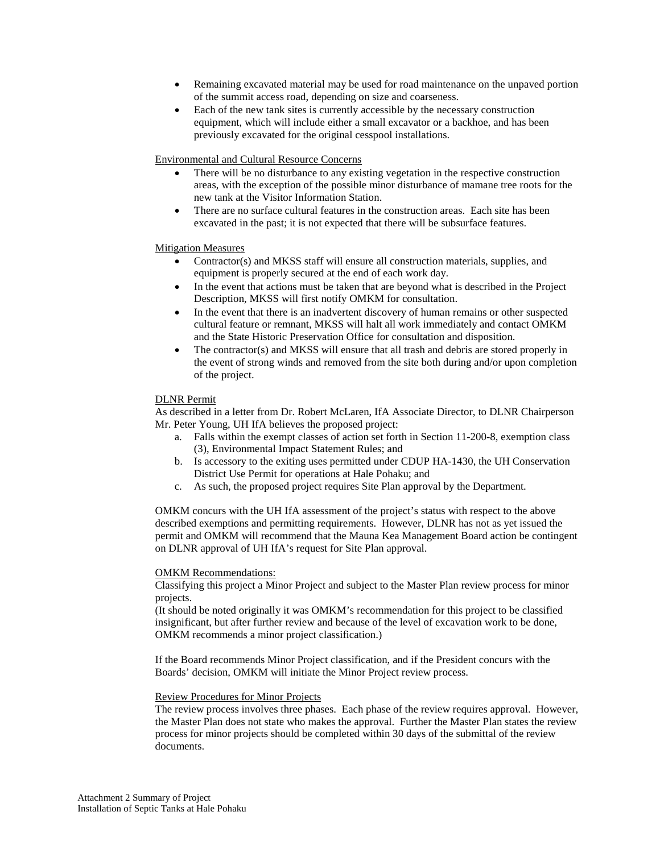- Remaining excavated material may be used for road maintenance on the unpaved portion of the summit access road, depending on size and coarseness.
- Each of the new tank sites is currently accessible by the necessary construction equipment, which will include either a small excavator or a backhoe, and has been previously excavated for the original cesspool installations.

Environmental and Cultural Resource Concerns

- There will be no disturbance to any existing vegetation in the respective construction areas, with the exception of the possible minor disturbance of mamane tree roots for the new tank at the Visitor Information Station.
- There are no surface cultural features in the construction areas. Each site has been excavated in the past; it is not expected that there will be subsurface features.

#### Mitigation Measures

- Contractor(s) and MKSS staff will ensure all construction materials, supplies, and equipment is properly secured at the end of each work day.
- In the event that actions must be taken that are beyond what is described in the Project Description, MKSS will first notify OMKM for consultation.
- In the event that there is an inadvertent discovery of human remains or other suspected cultural feature or remnant, MKSS will halt all work immediately and contact OMKM and the State Historic Preservation Office for consultation and disposition.
- The contractor(s) and MKSS will ensure that all trash and debris are stored properly in the event of strong winds and removed from the site both during and/or upon completion of the project.

#### DLNR Permit

As described in a letter from Dr. Robert McLaren, IfA Associate Director, to DLNR Chairperson Mr. Peter Young, UH IfA believes the proposed project:

- a. Falls within the exempt classes of action set forth in Section 11-200-8, exemption class (3), Environmental Impact Statement Rules; and
- b. Is accessory to the exiting uses permitted under CDUP HA-1430, the UH Conservation District Use Permit for operations at Hale Pohaku; and
- c. As such, the proposed project requires Site Plan approval by the Department.

OMKM concurs with the UH IfA assessment of the project's status with respect to the above described exemptions and permitting requirements. However, DLNR has not as yet issued the permit and OMKM will recommend that the Mauna Kea Management Board action be contingent on DLNR approval of UH IfA's request for Site Plan approval.

#### OMKM Recommendations:

Classifying this project a Minor Project and subject to the Master Plan review process for minor projects.

(It should be noted originally it was OMKM's recommendation for this project to be classified insignificant, but after further review and because of the level of excavation work to be done, OMKM recommends a minor project classification.)

If the Board recommends Minor Project classification, and if the President concurs with the Boards' decision, OMKM will initiate the Minor Project review process.

#### Review Procedures for Minor Projects

The review process involves three phases. Each phase of the review requires approval. However, the Master Plan does not state who makes the approval. Further the Master Plan states the review process for minor projects should be completed within 30 days of the submittal of the review documents.